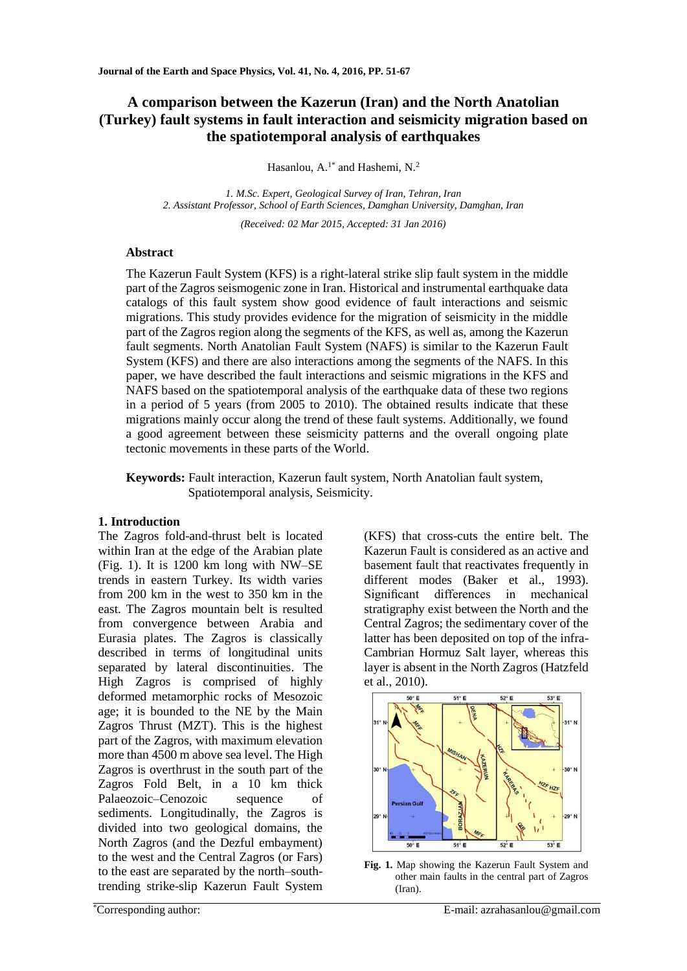# **A comparison between the Kazerun (Iran) and the North Anatolian (Turkey) fault systems in fault interaction and seismicity migration based on the spatiotemporal analysis of earthquakes**

Hasanlou, A.<sup>1\*</sup> and Hashemi, N.<sup>2</sup>

*1. M.Sc. Expert, Geological Survey of Iran, Tehran, Iran 2. Assistant Professor, School of Earth Sciences, Damghan University, Damghan, Iran*

*(Received: 02 Mar 2015, Accepted: 31 Jan 2016)*

## **Abstract**

The Kazerun Fault System (KFS) is a right-lateral strike slip fault system in the middle part of the Zagros seismogenic zone in Iran. Historical and instrumental earthquake data catalogs of this fault system show good evidence of fault interactions and seismic migrations. This study provides evidence for the migration of seismicity in the middle part of the Zagros region along the segments of the KFS, as well as, among the Kazerun fault segments. North Anatolian Fault System (NAFS) is similar to the Kazerun Fault System (KFS) and there are also interactions among the segments of the NAFS. In this paper, we have described the fault interactions and seismic migrations in the KFS and NAFS based on the spatiotemporal analysis of the earthquake data of these two regions in a period of 5 years (from 2005 to 2010). The obtained results indicate that these migrations mainly occur along the trend of these fault systems. Additionally, we found a good agreement between these seismicity patterns and the overall ongoing plate tectonic movements in these parts of the World.

**Keywords:** Fault interaction, Kazerun fault system, North Anatolian fault system, Spatiotemporal analysis, Seismicity.

## **1. Introduction**

The Zagros fold-and-thrust belt is located within Iran at the edge of the Arabian plate (Fig. 1). It is 1200 km long with NW–SE trends in eastern Turkey. Its width varies from 200 km in the west to 350 km in the east. The Zagros mountain belt is resulted from convergence between Arabia and Eurasia plates. The Zagros is classically described in terms of longitudinal units separated by lateral discontinuities. The High Zagros is comprised of highly deformed metamorphic rocks of Mesozoic age; it is bounded to the NE by the Main Zagros Thrust (MZT). This is the highest part of the Zagros, with maximum elevation more than 4500 m above sea level. The High Zagros is overthrust in the south part of the Zagros Fold Belt, in a 10 km thick Palaeozoic–Cenozoic sequence of sediments. Longitudinally, the Zagros is divided into two geological domains, the North Zagros (and the Dezful embayment) to the west and the Central Zagros (or Fars) to the east are separated by the north–southtrending strike-slip Kazerun Fault System (KFS) that cross-cuts the entire belt. The Kazerun Fault is considered as an active and basement fault that reactivates frequently in different modes (Baker et al., 1993). Significant differences in mechanical stratigraphy exist between the North and the Central Zagros; the sedimentary cover of the latter has been deposited on top of the infra-Cambrian Hormuz Salt layer, whereas this layer is absent in the North Zagros (Hatzfeld et al., 2010).



**Fig. 1.** Map showing the Kazerun Fault System and other main faults in the central part of Zagros (Iran).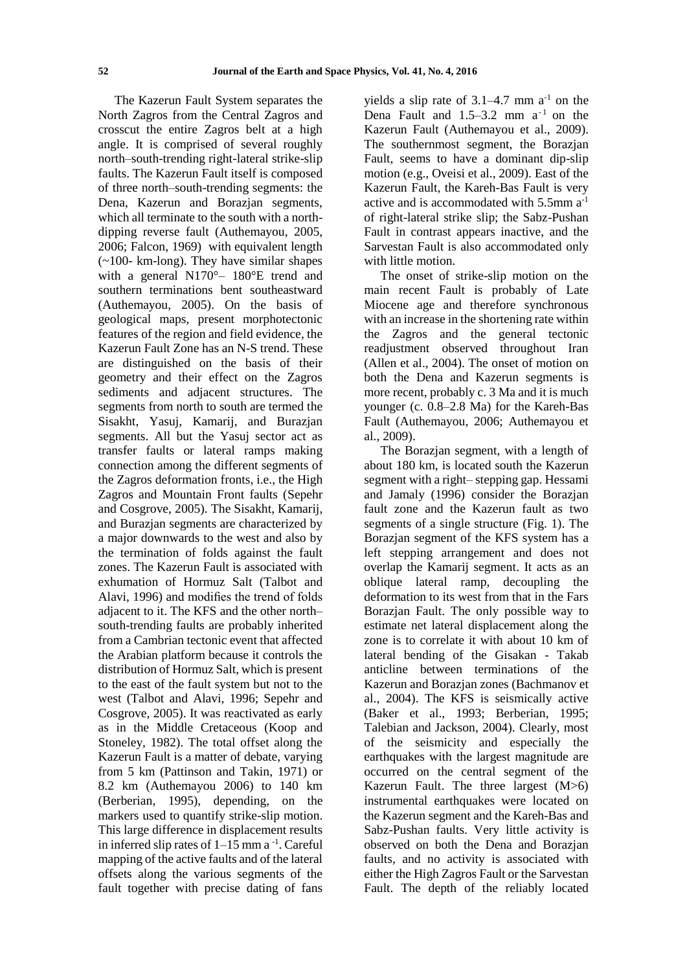The Kazerun Fault System separates the North Zagros from the Central Zagros and crosscut the entire Zagros belt at a high angle. It is comprised of several roughly north–south-trending right-lateral strike-slip faults. The Kazerun Fault itself is composed of three north–south-trending segments: the Dena, Kazerun and Borazjan segments, which all terminate to the south with a northdipping reverse fault (Authemayou, 2005, 2006; Falcon, 1969) with equivalent length (~100- km-long). They have similar shapes with a general N170°– 180°E trend and southern terminations bent southeastward (Authemayou, 2005). On the basis of geological maps, present morphotectonic features of the region and field evidence, the Kazerun Fault Zone has an N-S trend. These are distinguished on the basis of their geometry and their effect on the Zagros sediments and adjacent structures. The segments from north to south are termed the Sisakht, Yasuj, Kamarij, and Burazjan segments. All but the Yasuj sector act as transfer faults or lateral ramps making connection among the different segments of the Zagros deformation fronts, i.e., the High Zagros and Mountain Front faults (Sepehr and Cosgrove, 2005). The Sisakht, Kamarij, and Burazjan segments are characterized by a major downwards to the west and also by the termination of folds against the fault zones. The Kazerun Fault is associated with exhumation of Hormuz Salt (Talbot and Alavi, 1996) and modifies the trend of folds adjacent to it. The KFS and the other north– south-trending faults are probably inherited from a Cambrian tectonic event that affected the Arabian platform because it controls the distribution of Hormuz Salt, which is present to the east of the fault system but not to the west (Talbot and Alavi, 1996; Sepehr and Cosgrove, 2005). It was reactivated as early as in the Middle Cretaceous (Koop and Stoneley, 1982). The total offset along the Kazerun Fault is a matter of debate, varying from 5 km (Pattinson and Takin, 1971) or 8.2 km (Authemayou 2006) to 140 km (Berberian, 1995), depending, on the markers used to quantify strike-slip motion. This large difference in displacement results in inferred slip rates of  $1-15$  mm a  $^{-1}$ . Careful mapping of the active faults and of the lateral offsets along the various segments of the fault together with precise dating of fans

yields a slip rate of  $3.1-4.7$  mm  $a^{-1}$  on the Dena Fault and  $1.5-3.2$  mm  $a^{-1}$  on the Kazerun Fault (Authemayou et al., 2009). The southernmost segment, the Borazjan Fault, seems to have a dominant dip-slip motion (e.g., Oveisi et al., 2009). East of the Kazerun Fault, the Kareh-Bas Fault is very active and is accommodated with  $5.5$ mm  $a^{-1}$ of right-lateral strike slip; the Sabz-Pushan Fault in contrast appears inactive, and the Sarvestan Fault is also accommodated only with little motion.

The onset of strike-slip motion on the main recent Fault is probably of Late Miocene age and therefore synchronous with an increase in the shortening rate within the Zagros and the general tectonic readjustment observed throughout Iran (Allen et al., 2004). The onset of motion on both the Dena and Kazerun segments is more recent, probably c. 3 Ma and it is much younger (c. 0.8–2.8 Ma) for the Kareh-Bas Fault (Authemayou, 2006; Authemayou et al., 2009).

The Borazjan segment, with a length of about 180 km, is located south the Kazerun segment with a right– stepping gap. Hessami and Jamaly (1996) consider the Borazjan fault zone and the Kazerun fault as two segments of a single structure (Fig. 1). The Borazjan segment of the KFS system has a left stepping arrangement and does not overlap the Kamarij segment. It acts as an oblique lateral ramp, decoupling the deformation to its west from that in the Fars Borazjan Fault. The only possible way to estimate net lateral displacement along the zone is to correlate it with about 10 km of lateral bending of the Gisakan - Takab anticline between terminations of the Kazerun and Borazjan zones (Bachmanov et al., 2004). The KFS is seismically active (Baker et al., 1993; Berberian, 1995; Talebian and Jackson, 2004). Clearly, most of the seismicity and especially the earthquakes with the largest magnitude are occurred on the central segment of the Kazerun Fault. The three largest (M>6) instrumental earthquakes were located on the Kazerun segment and the Kareh-Bas and Sabz-Pushan faults. Very little activity is observed on both the Dena and Borazjan faults, and no activity is associated with either the High Zagros Fault or the Sarvestan Fault. The depth of the reliably located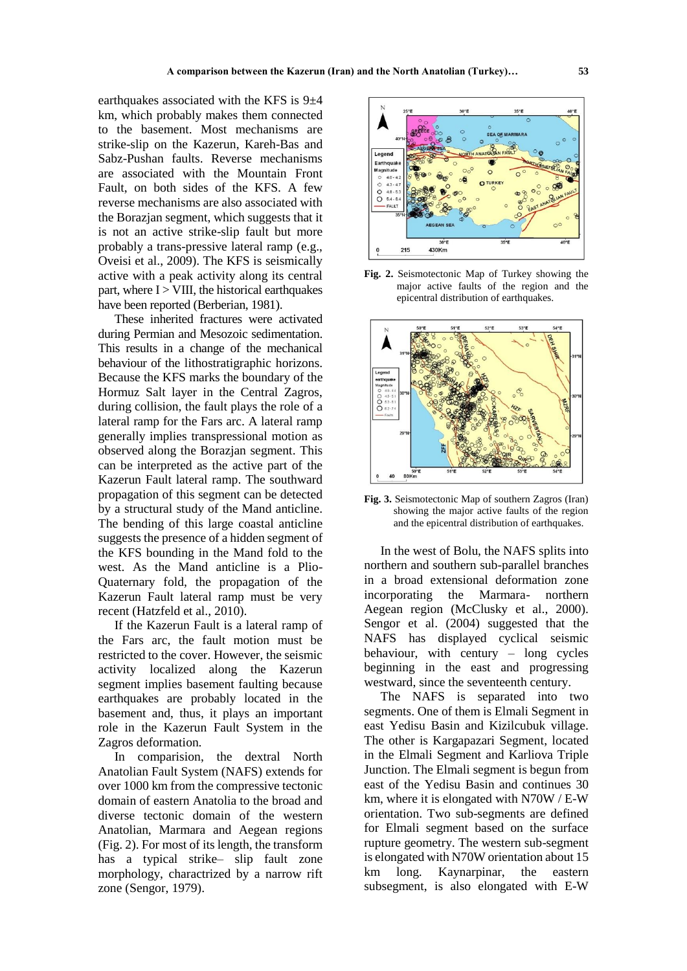earthquakes associated with the KFS is  $9\pm4$ km, which probably makes them connected to the basement. Most mechanisms are strike-slip on the Kazerun, Kareh-Bas and Sabz-Pushan faults. Reverse mechanisms are associated with the Mountain Front Fault, on both sides of the KFS. A few reverse mechanisms are also associated with the Borazjan segment, which suggests that it is not an active strike-slip fault but more probably a trans-pressive lateral ramp (e.g., Oveisi et al., 2009). The KFS is seismically active with a peak activity along its central part, where  $I > VIII$ , the historical earthquakes have been reported (Berberian, 1981).

These inherited fractures were activated during Permian and Mesozoic sedimentation. This results in a change of the mechanical behaviour of the lithostratigraphic horizons. Because the KFS marks the boundary of the Hormuz Salt layer in the Central Zagros, during collision, the fault plays the role of a lateral ramp for the Fars arc. A lateral ramp generally implies transpressional motion as observed along the Borazjan segment. This can be interpreted as the active part of the Kazerun Fault lateral ramp. The southward propagation of this segment can be detected by a structural study of the Mand anticline. The bending of this large coastal anticline suggests the presence of a hidden segment of the KFS bounding in the Mand fold to the west. As the Mand anticline is a Plio-Quaternary fold, the propagation of the Kazerun Fault lateral ramp must be very recent (Hatzfeld et al., 2010).

If the Kazerun Fault is a lateral ramp of the Fars arc, the fault motion must be restricted to the cover. However, the seismic activity localized along the Kazerun segment implies basement faulting because earthquakes are probably located in the basement and, thus, it plays an important role in the Kazerun Fault System in the Zagros deformation.

In comparision, the dextral North Anatolian Fault System (NAFS) extends for over 1000 km from the compressive tectonic domain of eastern Anatolia to the broad and diverse tectonic domain of the western Anatolian, Marmara and Aegean regions (Fig. 2). For most of its length, the transform has a typical strike– slip fault zone morphology, charactrized by a narrow rift zone (Sengor, 1979).



**Fig. 2.** Seismotectonic Map of Turkey showing the major active faults of the region and the epicentral distribution of earthquakes.



**Fig. 3.** Seismotectonic Map of southern Zagros (Iran) showing the major active faults of the region and the epicentral distribution of earthquakes.

In the west of Bolu, the NAFS splits into northern and southern sub-parallel branches in a broad extensional deformation zone incorporating the Marmara- northern Aegean region (McClusky et al., 2000). Sengor et al. (2004) suggested that the NAFS has displayed cyclical seismic behaviour, with century – long cycles beginning in the east and progressing westward, since the seventeenth century.

The NAFS is separated into two segments. One of them is Elmali Segment in east Yedisu Basin and Kizilcubuk village. The other is Kargapazari Segment, located in the Elmali Segment and Karliova Triple Junction. The Elmali segment is begun from east of the Yedisu Basin and continues 30 km, where it is elongated with N70W / E-W orientation. Two sub-segments are defined for Elmali segment based on the surface rupture geometry. The western sub-segment is elongated with N70W orientation about 15 km long. Kaynarpinar, the eastern subsegment, is also elongated with E-W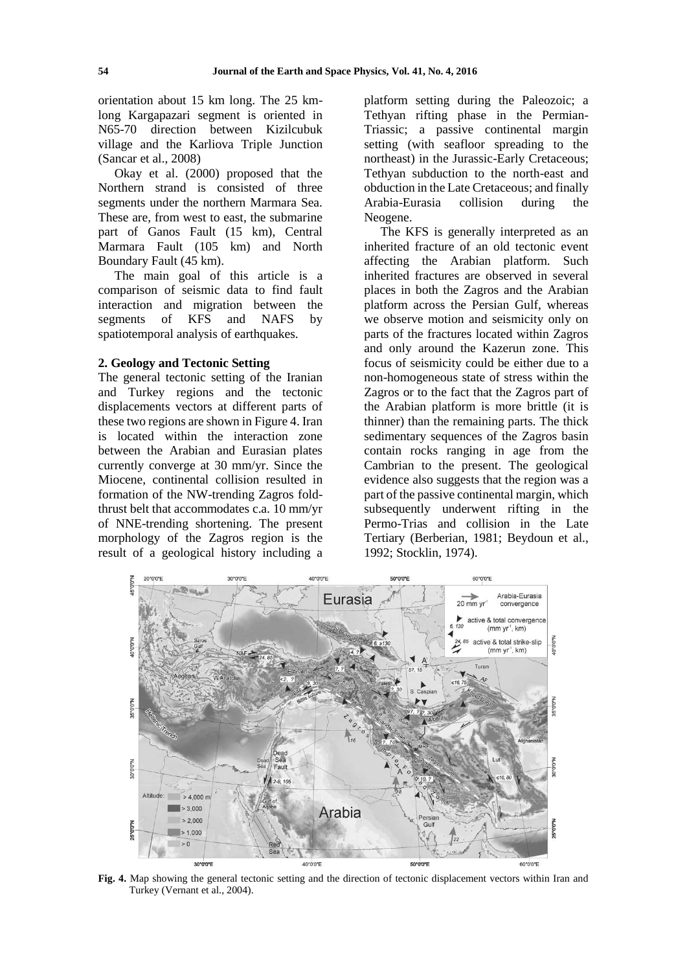orientation about 15 km long. The 25 kmlong Kargapazari segment is oriented in N65-70 direction between Kizilcubuk village and the Karliova Triple Junction (Sancar et al., 2008)

Okay et al. (2000) proposed that the Northern strand is consisted of three segments under the northern Marmara Sea. These are, from west to east, the submarine part of Ganos Fault (15 km), Central Marmara Fault (105 km) and North Boundary Fault (45 km).

The main goal of this article is a comparison of seismic data to find fault interaction and migration between the segments of KFS and NAFS by spatiotemporal analysis of earthquakes.

#### **2. Geology and Tectonic Setting**

The general tectonic setting of the Iranian and Turkey regions and the tectonic displacements vectors at different parts of these two regions are shown in Figure 4. Iran is located within the interaction zone between the Arabian and Eurasian plates currently converge at 30 mm/yr. Since the Miocene, continental collision resulted in formation of the NW-trending Zagros foldthrust belt that accommodates c.a. 10 mm/yr of NNE-trending shortening. The present morphology of the Zagros region is the result of a geological history including a

platform setting during the Paleozoic; a Tethyan rifting phase in the Permian-Triassic; a passive continental margin setting (with seafloor spreading to the northeast) in the Jurassic-Early Cretaceous; Tethyan subduction to the north-east and obduction in the Late Cretaceous; and finally Arabia-Eurasia collision during the Neogene.

The KFS is generally interpreted as an inherited fracture of an old tectonic event affecting the Arabian platform. Such inherited fractures are observed in several places in both the Zagros and the Arabian platform across the Persian Gulf, whereas we observe motion and seismicity only on parts of the fractures located within Zagros and only around the Kazerun zone. This focus of seismicity could be either due to a non-homogeneous state of stress within the Zagros or to the fact that the Zagros part of the Arabian platform is more brittle (it is thinner) than the remaining parts. The thick sedimentary sequences of the Zagros basin contain rocks ranging in age from the Cambrian to the present. The geological evidence also suggests that the region was a part of the passive continental margin, which subsequently underwent rifting in the Permo-Trias and collision in the Late Tertiary (Berberian, 1981; Beydoun et al., 1992; Stocklin, 1974).



**Fig. 4.** Map showing the general tectonic setting and the direction of tectonic displacement vectors within Iran and Turkey (Vernant et al., 2004).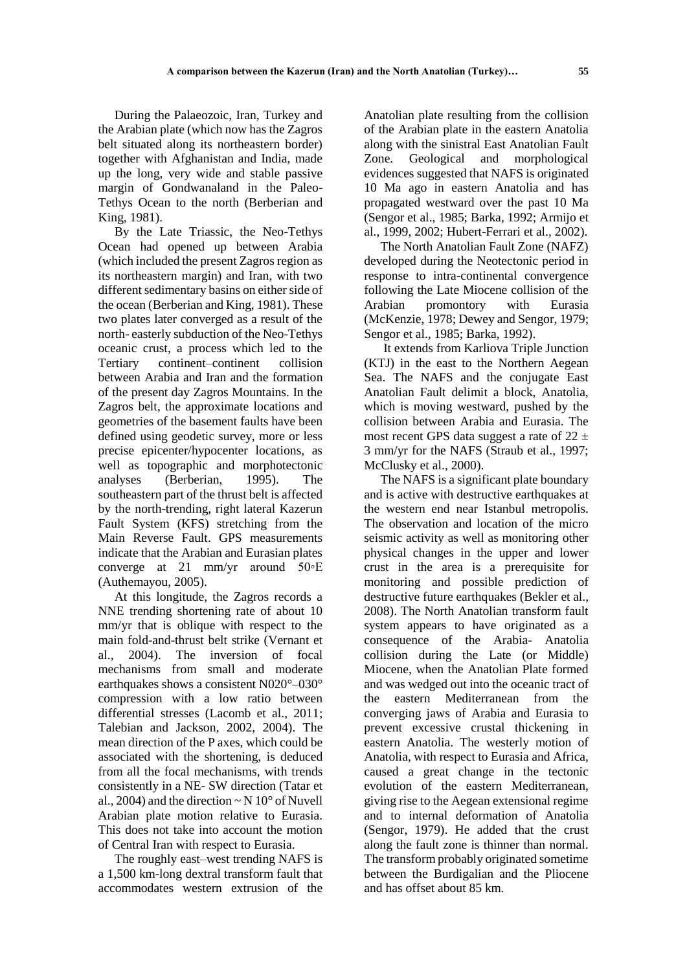During the Palaeozoic, Iran, Turkey and the Arabian plate (which now has the Zagros belt situated along its northeastern border) together with Afghanistan and India, made up the long, very wide and stable passive margin of Gondwanaland in the Paleo-Tethys Ocean to the north (Berberian and King, 1981).

By the Late Triassic, the Neo-Tethys Ocean had opened up between Arabia (which included the present Zagros region as its northeastern margin) and Iran, with two different sedimentary basins on either side of the ocean (Berberian and King, 1981). These two plates later converged as a result of the north- easterly subduction of the Neo-Tethys oceanic crust, a process which led to the Tertiary continent–continent collision between Arabia and Iran and the formation of the present day Zagros Mountains. In the Zagros belt, the approximate locations and geometries of the basement faults have been defined using geodetic survey, more or less precise epicenter/hypocenter locations, as well as topographic and morphotectonic analyses (Berberian, 1995). The southeastern part of the thrust belt is affected by the north-trending, right lateral Kazerun Fault System (KFS) stretching from the Main Reverse Fault. GPS measurements indicate that the Arabian and Eurasian plates converge at 21 mm/yr around 50◦E (Authemayou, 2005).

At this longitude, the Zagros records a NNE trending shortening rate of about 10 mm/yr that is oblique with respect to the main fold-and-thrust belt strike (Vernant et al., 2004). The inversion of focal mechanisms from small and moderate earthquakes shows a consistent N020°–030° compression with a low ratio between differential stresses (Lacomb et al., 2011; Talebian and Jackson, 2002, 2004). The mean direction of the P axes, which could be associated with the shortening, is deduced from all the focal mechanisms, with trends consistently in a NE- SW direction (Tatar et al., 2004) and the direction  $\sim N 10^{\circ}$  of Nuvell Arabian plate motion relative to Eurasia. This does not take into account the motion of Central Iran with respect to Eurasia.

The roughly east–west trending NAFS is a 1,500 km-long dextral transform fault that accommodates western extrusion of the

Anatolian plate resulting from the collision of the Arabian plate in the eastern Anatolia along with the sinistral East Anatolian Fault Zone. Geological and morphological evidences suggested that NAFS is originated 10 Ma ago in eastern Anatolia and has propagated westward over the past 10 Ma (Sengor et al., 1985; Barka, 1992; Armijo et al., 1999, 2002; Hubert-Ferrari et al., 2002).

The North Anatolian Fault Zone (NAFZ) developed during the Neotectonic period in response to intra-continental convergence following the Late Miocene collision of the Arabian promontory with Eurasia (McKenzie, 1978; Dewey and Sengor, 1979; Sengor et al., 1985; Barka, 1992).

It extends from Karliova Triple Junction (KTJ) in the east to the Northern Aegean Sea. The NAFS and the conjugate East Anatolian Fault delimit a block, Anatolia, which is moving westward, pushed by the collision between Arabia and Eurasia. The most recent GPS data suggest a rate of  $22 \pm$ 3 mm/yr for the NAFS (Straub et al., 1997; McClusky et al., 2000).

The NAFS is a significant plate boundary and is active with destructive earthquakes at the western end near Istanbul metropolis. The observation and location of the micro seismic activity as well as monitoring other physical changes in the upper and lower crust in the area is a prerequisite for monitoring and possible prediction of destructive future earthquakes (Bekler et al., 2008). The North Anatolian transform fault system appears to have originated as a consequence of the Arabia- Anatolia collision during the Late (or Middle) Miocene, when the Anatolian Plate formed and was wedged out into the oceanic tract of the eastern Mediterranean from the converging jaws of Arabia and Eurasia to prevent excessive crustal thickening in eastern Anatolia. The westerly motion of Anatolia, with respect to Eurasia and Africa, caused a great change in the tectonic evolution of the eastern Mediterranean, giving rise to the Aegean extensional regime and to internal deformation of Anatolia (Sengor, 1979). He added that the crust along the fault zone is thinner than normal. The transform probably originated sometime between the Burdigalian and the Pliocene and has offset about 85 km.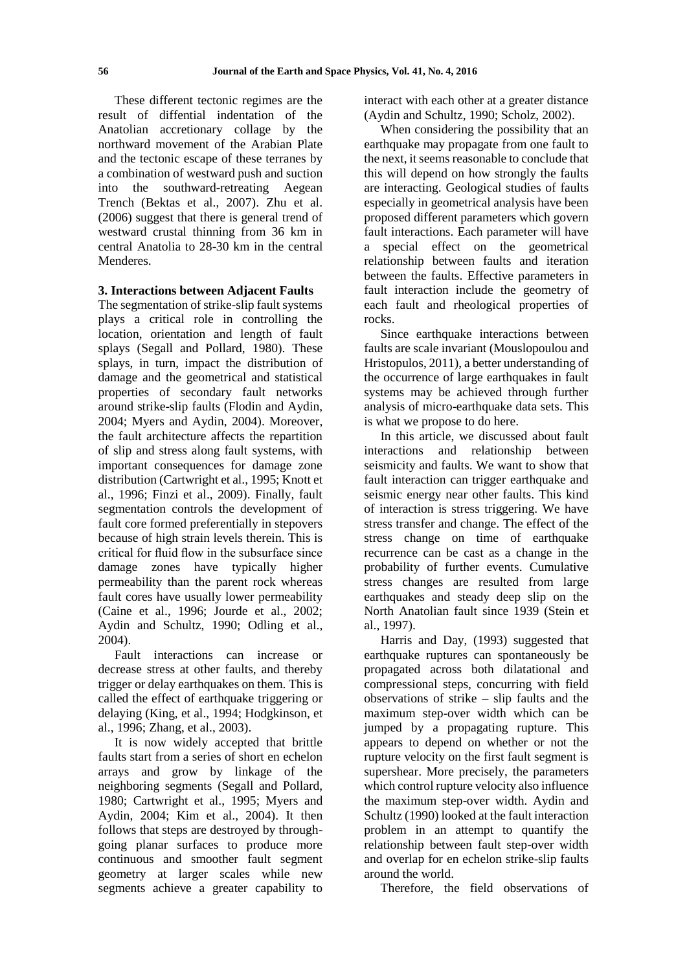These different tectonic regimes are the result of diffential indentation of the Anatolian accretionary collage by the northward movement of the Arabian Plate and the tectonic escape of these terranes by a combination of westward push and suction into the southward-retreating Aegean Trench (Bektas et al., 2007). Zhu et al. (2006) suggest that there is general trend of westward crustal thinning from 36 km in central Anatolia to 28-30 km in the central Menderes.

## **3. Interactions between Adjacent Faults**

The segmentation of strike-slip fault systems plays a critical role in controlling the location, orientation and length of fault splays (Segall and Pollard, 1980). These splays, in turn, impact the distribution of damage and the geometrical and statistical properties of secondary fault networks around strike-slip faults (Flodin and Aydin, 2004; Myers and Aydin, 2004). Moreover, the fault architecture affects the repartition of slip and stress along fault systems, with important consequences for damage zone distribution (Cartwright et al., 1995; Knott et al., 1996; Finzi et al., 2009). Finally, fault segmentation controls the development of fault core formed preferentially in stepovers because of high strain levels therein. This is critical for fluid flow in the subsurface since damage zones have typically higher permeability than the parent rock whereas fault cores have usually lower permeability (Caine et al., 1996; Jourde et al., 2002; Aydin and Schultz, 1990; Odling et al., 2004).

Fault interactions can increase or decrease stress at other faults, and thereby trigger or delay earthquakes on them. This is called the effect of earthquake triggering or delaying (King, et al., 1994; Hodgkinson, et al., 1996; Zhang, et al., 2003).

It is now widely accepted that brittle faults start from a series of short en echelon arrays and grow by linkage of the neighboring segments (Segall and Pollard, 1980; Cartwright et al., 1995; Myers and Aydin, 2004; Kim et al., 2004). It then follows that steps are destroyed by throughgoing planar surfaces to produce more continuous and smoother fault segment geometry at larger scales while new segments achieve a greater capability to interact with each other at a greater distance (Aydin and Schultz, 1990; Scholz, 2002).

When considering the possibility that an earthquake may propagate from one fault to the next, it seems reasonable to conclude that this will depend on how strongly the faults are interacting. Geological studies of faults especially in geometrical analysis have been proposed different parameters which govern fault interactions. Each parameter will have a special effect on the geometrical relationship between faults and iteration between the faults. Effective parameters in fault interaction include the geometry of each fault and rheological properties of rocks.

Since earthquake interactions between faults are scale invariant (Mouslopoulou and Hristopulos, 2011), a better understanding of the occurrence of large earthquakes in fault systems may be achieved through further analysis of micro-earthquake data sets. This is what we propose to do here.

In this article, we discussed about fault interactions and relationship between seismicity and faults. We want to show that fault interaction can trigger earthquake and seismic energy near other faults. This kind of interaction is stress triggering. We have stress transfer and change. The effect of the stress change on time of earthquake recurrence can be cast as a change in the probability of further events. Cumulative stress changes are resulted from large earthquakes and steady deep slip on the North Anatolian fault since 1939 (Stein et al., 1997).

Harris and Day, (1993) suggested that earthquake ruptures can spontaneously be propagated across both dilatational and compressional steps, concurring with field observations of strike – slip faults and the maximum step-over width which can be jumped by a propagating rupture. This appears to depend on whether or not the rupture velocity on the first fault segment is supershear. More precisely, the parameters which control rupture velocity also influence the maximum step-over width. Aydin and Schultz (1990) looked at the fault interaction problem in an attempt to quantify the relationship between fault step-over width and overlap for en echelon strike-slip faults around the world.

Therefore, the field observations of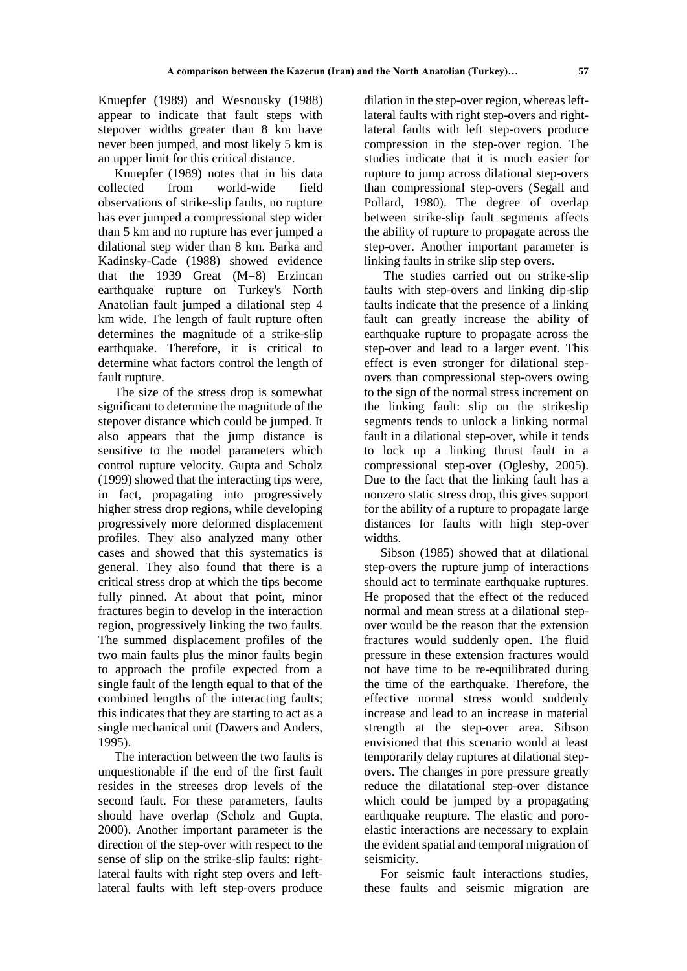Knuepfer (1989) and Wesnousky (1988) appear to indicate that fault steps with stepover widths greater than 8 km have never been jumped, and most likely 5 km is an upper limit for this critical distance.

Knuepfer (1989) notes that in his data collected from world-wide field observations of strike-slip faults, no rupture has ever jumped a compressional step wider than 5 km and no rupture has ever jumped a dilational step wider than 8 km. Barka and Kadinsky-Cade (1988) showed evidence that the 1939 Great (M=8) Erzincan earthquake rupture on Turkey's North Anatolian fault jumped a dilational step 4 km wide. The length of fault rupture often determines the magnitude of a strike-slip earthquake. Therefore, it is critical to determine what factors control the length of fault rupture.

The size of the stress drop is somewhat significant to determine the magnitude of the stepover distance which could be jumped. It also appears that the jump distance is sensitive to the model parameters which control rupture velocity. Gupta and Scholz (1999) showed that the interacting tips were, in fact, propagating into progressively higher stress drop regions, while developing progressively more deformed displacement profiles. They also analyzed many other cases and showed that this systematics is general. They also found that there is a critical stress drop at which the tips become fully pinned. At about that point, minor fractures begin to develop in the interaction region, progressively linking the two faults. The summed displacement profiles of the two main faults plus the minor faults begin to approach the profile expected from a single fault of the length equal to that of the combined lengths of the interacting faults; this indicates that they are starting to act as a single mechanical unit (Dawers and Anders, 1995).

The interaction between the two faults is unquestionable if the end of the first fault resides in the streeses drop levels of the second fault. For these parameters, faults should have overlap (Scholz and Gupta, 2000). Another important parameter is the direction of the step-over with respect to the sense of slip on the strike-slip faults: rightlateral faults with right step overs and leftlateral faults with left step-overs produce

dilation in the step-over region, whereas leftlateral faults with right step-overs and rightlateral faults with left step-overs produce compression in the step-over region. The studies indicate that it is much easier for rupture to jump across dilational step-overs than compressional step-overs (Segall and Pollard, 1980). The degree of overlap between strike-slip fault segments affects the ability of rupture to propagate across the step-over. Another important parameter is linking faults in strike slip step overs.

The studies carried out on strike-slip faults with step-overs and linking dip-slip faults indicate that the presence of a linking fault can greatly increase the ability of earthquake rupture to propagate across the step-over and lead to a larger event. This effect is even stronger for dilational stepovers than compressional step-overs owing to the sign of the normal stress increment on the linking fault: slip on the strikeslip segments tends to unlock a linking normal fault in a dilational step-over, while it tends to lock up a linking thrust fault in a compressional step-over (Oglesby, 2005). Due to the fact that the linking fault has a nonzero static stress drop, this gives support for the ability of a rupture to propagate large distances for faults with high step-over widths.

Sibson (1985) showed that at dilational step-overs the rupture jump of interactions should act to terminate earthquake ruptures. He proposed that the effect of the reduced normal and mean stress at a dilational stepover would be the reason that the extension fractures would suddenly open. The fluid pressure in these extension fractures would not have time to be re-equilibrated during the time of the earthquake. Therefore, the effective normal stress would suddenly increase and lead to an increase in material strength at the step-over area. Sibson envisioned that this scenario would at least temporarily delay ruptures at dilational stepovers. The changes in pore pressure greatly reduce the dilatational step-over distance which could be jumped by a propagating earthquake reupture. The elastic and poroelastic interactions are necessary to explain the evident spatial and temporal migration of seismicity.

For seismic fault interactions studies, these faults and seismic migration are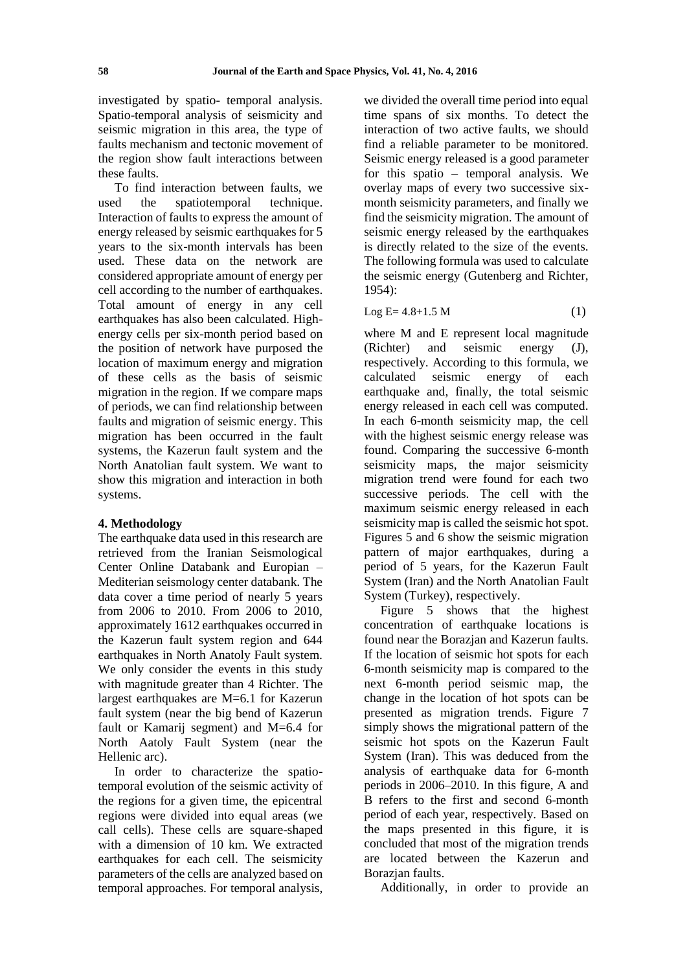investigated by spatio- temporal analysis. Spatio-temporal analysis of seismicity and seismic migration in this area, the type of faults mechanism and tectonic movement of the region show fault interactions between these faults.

To find interaction between faults, we<br>d the spatiotemporal technique. used the spatiotemporal Interaction of faults to express the amount of energy released by seismic earthquakes for 5 years to the six-month intervals has been used. These data on the network are considered appropriate amount of energy per cell according to the number of earthquakes. Total amount of energy in any cell earthquakes has also been calculated. Highenergy cells per six-month period based on the position of network have purposed the location of maximum energy and migration of these cells as the basis of seismic migration in the region. If we compare maps of periods, we can find relationship between faults and migration of seismic energy. This migration has been occurred in the fault systems, the Kazerun fault system and the North Anatolian fault system. We want to show this migration and interaction in both systems.

### **4. Methodology**

The earthquake data used in this research are retrieved from the Iranian Seismological Center Online Databank and Europian – Mediterian seismology center databank. The data cover a time period of nearly 5 years from 2006 to 2010. From 2006 to 2010, approximately 1612 earthquakes occurred in the Kazerun fault system region and 644 earthquakes in North Anatoly Fault system. We only consider the events in this study with magnitude greater than 4 Richter. The largest earthquakes are M=6.1 for Kazerun fault system (near the big bend of Kazerun fault or Kamarij segment) and M=6.4 for North Aatoly Fault System (near the Hellenic arc).

In order to characterize the spatiotemporal evolution of the seismic activity of the regions for a given time, the epicentral regions were divided into equal areas (we call cells). These cells are square-shaped with a dimension of 10 km. We extracted earthquakes for each cell. The seismicity parameters of the cells are analyzed based on temporal approaches. For temporal analysis,

we divided the overall time period into equal time spans of six months. To detect the interaction of two active faults, we should find a reliable parameter to be monitored. Seismic energy released is a good parameter for this spatio – temporal analysis. We overlay maps of every two successive sixmonth seismicity parameters, and finally we find the seismicity migration. The amount of seismic energy released by the earthquakes is directly related to the size of the events. The following formula was used to calculate the seismic energy (Gutenberg and Richter, 1954):

Log  $E = 4.8 + 1.5 M$  (1)

where M and E represent local magnitude (Richter) and seismic energy (J), respectively. According to this formula, we calculated seismic energy of each earthquake and, finally, the total seismic energy released in each cell was computed. In each 6-month seismicity map, the cell with the highest seismic energy release was found. Comparing the successive 6-month seismicity maps, the major seismicity migration trend were found for each two successive periods. The cell with the maximum seismic energy released in each seismicity map is called the seismic hot spot. Figures 5 and 6 show the seismic migration pattern of major earthquakes, during a period of 5 years, for the Kazerun Fault System (Iran) and the North Anatolian Fault System (Turkey), respectively.

Figure 5 shows that the highest concentration of earthquake locations is found near the Borazjan and Kazerun faults. If the location of seismic hot spots for each 6-month seismicity map is compared to the next 6-month period seismic map, the change in the location of hot spots can be presented as migration trends. Figure 7 simply shows the migrational pattern of the seismic hot spots on the Kazerun Fault System (Iran). This was deduced from the analysis of earthquake data for 6-month periods in 2006–2010. In this figure, A and B refers to the first and second 6-month period of each year, respectively. Based on the maps presented in this figure, it is concluded that most of the migration trends are located between the Kazerun and Borazian faults.

Additionally, in order to provide an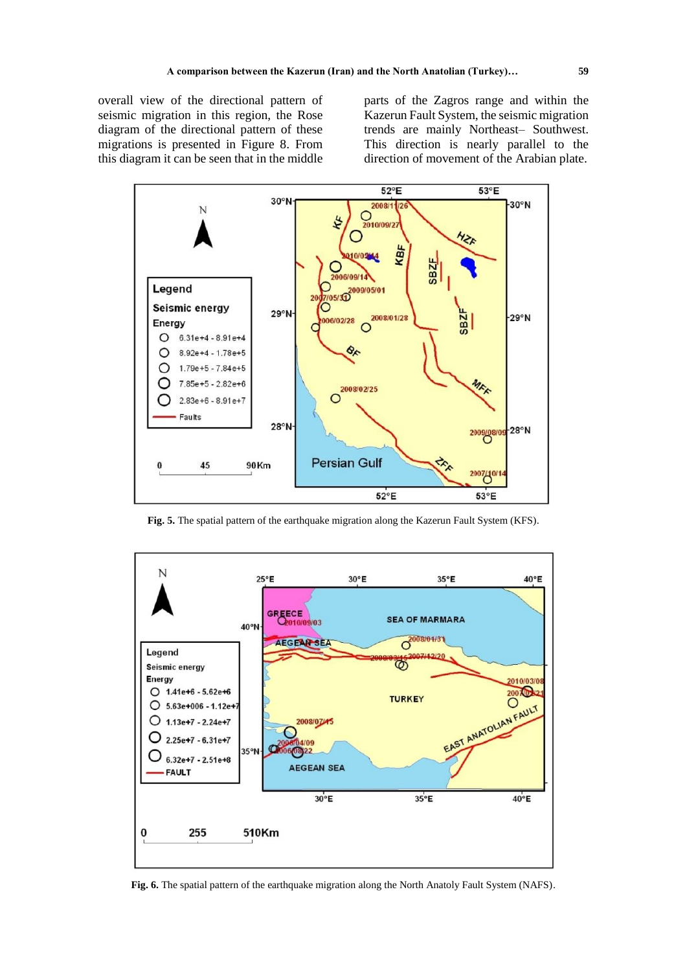overall view of the directional pattern of seismic migration in this region, the Rose diagram of the directional pattern of these migrations is presented in Figure 8. From this diagram it can be seen that in the middle

parts of the Zagros range and within the Kazerun Fault System, the seismic migration trends are mainly Northeast– Southwest. This direction is nearly parallel to the direction of movement of the Arabian plate.



**Fig. 5.** The spatial pattern of the earthquake migration along the Kazerun Fault System (KFS).



**Fig. 6.** The spatial pattern of the earthquake migration along the North Anatoly Fault System (NAFS).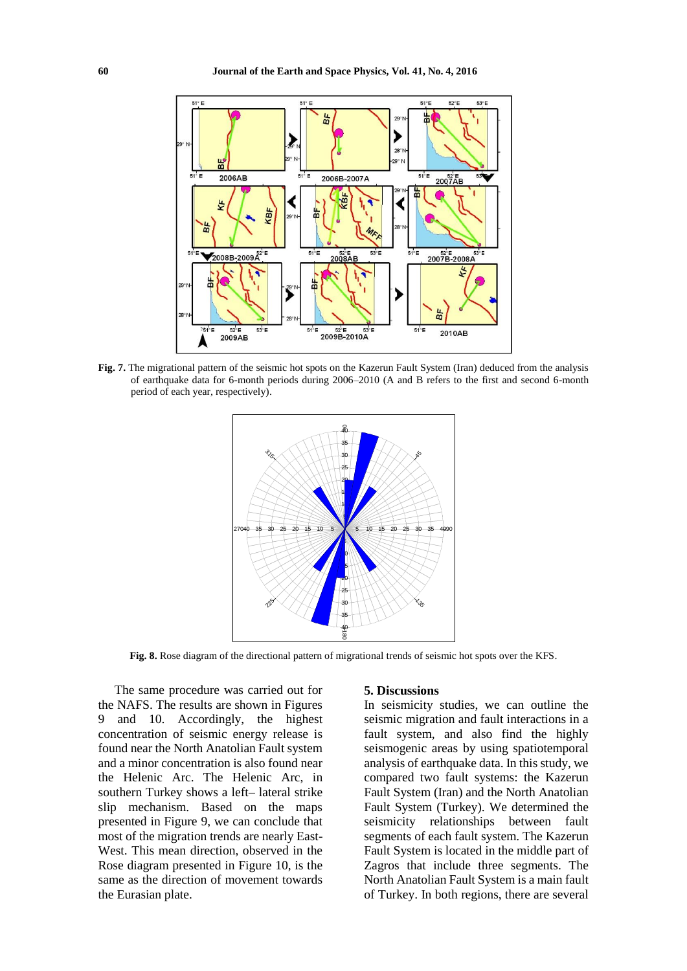

**Fig. 7.** The migrational pattern of the seismic hot spots on the Kazerun Fault System (Iran) deduced from the analysis of earthquake data for 6-month periods during 2006–2010 (A and B refers to the first and second 6-month period of each year, respectively).



**Fig. 8.** Rose diagram of the directional pattern of migrational trends of seismic hot spots over the KFS.

The same procedure was carried out for the NAFS. The results are shown in Figures 9 and 10. Accordingly, the highest concentration of seismic energy release is found near the North Anatolian Fault system and a minor concentration is also found near the Helenic Arc. The Helenic Arc, in southern Turkey shows a left– lateral strike slip mechanism. Based on the maps presented in Figure 9, we can conclude that most of the migration trends are nearly East-West. This mean direction, observed in the Rose diagram presented in Figure 10, is the same as the direction of movement towards the Eurasian plate.

#### **5. Discussions**

In seismicity studies, we can outline the seismic migration and fault interactions in a fault system, and also find the highly seismogenic areas by using spatiotemporal analysis of earthquake data. In this study, we compared two fault systems: the Kazerun Fault System (Iran) and the North Anatolian Fault System (Turkey). We determined the seismicity relationships between fault segments of each fault system. The Kazerun Fault System is located in the middle part of Zagros that include three segments. The North Anatolian Fault System is a main fault of Turkey. In both regions, there are several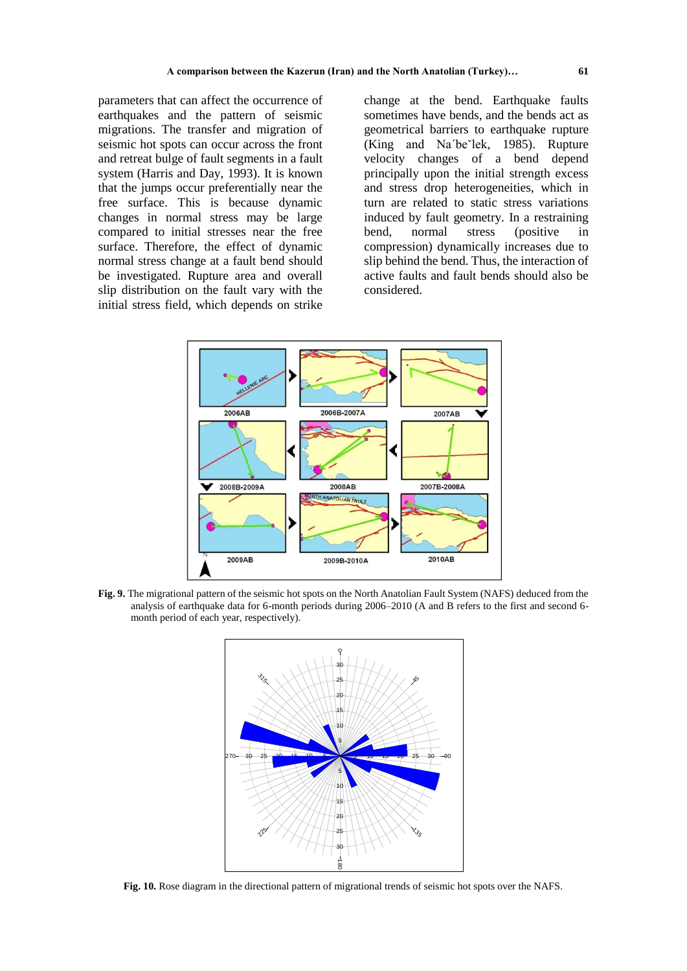parameters that can affect the occurrence of earthquakes and the pattern of seismic migrations. The transfer and migration of seismic hot spots can occur across the front and retreat bulge of fault segments in a fault system (Harris and Day, 1993). It is known that the jumps occur preferentially near the free surface. This is because dynamic changes in normal stress may be large compared to initial stresses near the free surface. Therefore, the effect of dynamic normal stress change at a fault bend should be investigated. Rupture area and overall slip distribution on the fault vary with the initial stress field, which depends on strike

change at the bend. Earthquake faults sometimes have bends, and the bends act as geometrical barriers to earthquake rupture (King and Na´beˇlek, 1985). Rupture velocity changes of a bend depend principally upon the initial strength excess and stress drop heterogeneities, which in turn are related to static stress variations induced by fault geometry. In a restraining bend, normal stress (positive in compression) dynamically increases due to slip behind the bend. Thus, the interaction of active faults and fault bends should also be considered.



**Fig. 9.** The migrational pattern of the seismic hot spots on the North Anatolian Fault System (NAFS) deduced from the analysis of earthquake data for 6-month periods during 2006–2010 (A and B refers to the first and second 6 month period of each year, respectively).



**Fig. 10.** Rose diagram in the directional pattern of migrational trends of seismic hot spots over the NAFS.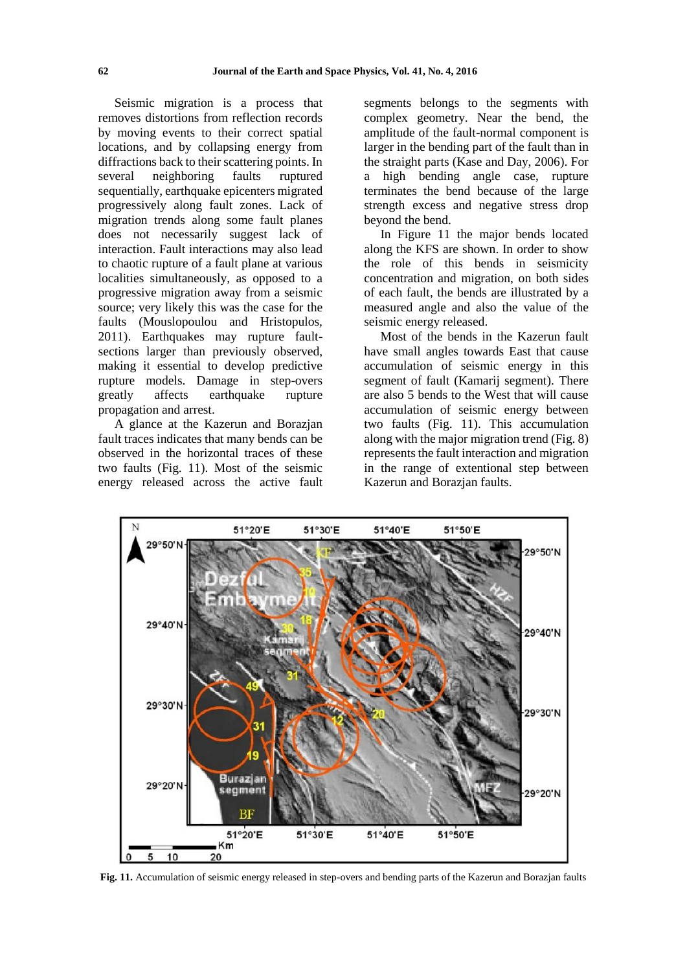Seismic migration is a process that removes distortions from reflection records by moving events to their correct spatial locations, and by collapsing energy from diffractions back to their scattering points. In several neighboring faults ruptured sequentially, earthquake epicenters migrated progressively along fault zones. Lack of migration trends along some fault planes does not necessarily suggest lack of interaction. Fault interactions may also lead to chaotic rupture of a fault plane at various localities simultaneously, as opposed to a progressive migration away from a seismic source; very likely this was the case for the faults (Mouslopoulou and Hristopulos, 2011). Earthquakes may rupture faultsections larger than previously observed, making it essential to develop predictive rupture models. Damage in step-overs greatly affects earthquake rupture propagation and arrest.

A glance at the Kazerun and Borazjan fault traces indicates that many bends can be observed in the horizontal traces of these two faults (Fig. 11). Most of the seismic energy released across the active fault segments belongs to the segments with complex geometry. Near the bend, the amplitude of the fault-normal component is larger in the bending part of the fault than in the straight parts (Kase and Day, 2006). For a high bending angle case, rupture terminates the bend because of the large strength excess and negative stress drop beyond the bend.

In Figure 11 the major bends located along the KFS are shown. In order to show the role of this bends in seismicity concentration and migration, on both sides of each fault, the bends are illustrated by a measured angle and also the value of the seismic energy released.

Most of the bends in the Kazerun fault have small angles towards East that cause accumulation of seismic energy in this segment of fault (Kamarij segment). There are also 5 bends to the West that will cause accumulation of seismic energy between two faults (Fig. 11). This accumulation along with the major migration trend (Fig. 8) represents the fault interaction and migration in the range of extentional step between Kazerun and Borazjan faults.



**Fig. 11.** Accumulation of seismic energy released in step-overs and bending parts of the Kazerun and Borazjan faults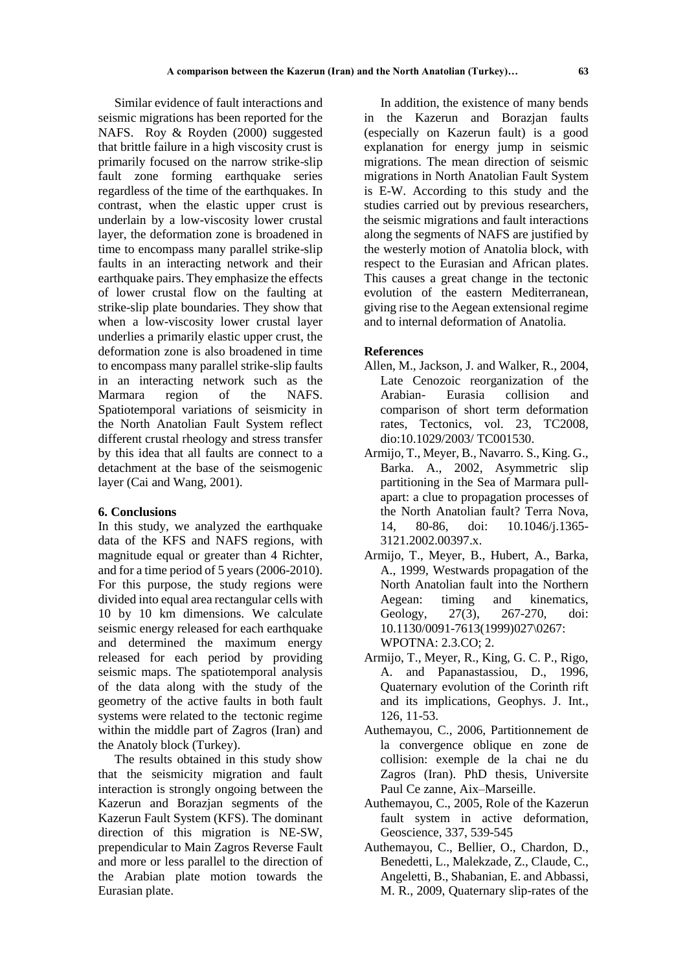Similar evidence of fault interactions and seismic migrations has been reported for the NAFS. Roy & Royden (2000) suggested that brittle failure in a high viscosity crust is primarily focused on the narrow strike-slip fault zone forming earthquake series regardless of the time of the earthquakes. In contrast, when the elastic upper crust is underlain by a low-viscosity lower crustal layer, the deformation zone is broadened in time to encompass many parallel strike-slip faults in an interacting network and their earthquake pairs. They emphasize the effects of lower crustal flow on the faulting at strike-slip plate boundaries. They show that when a low-viscosity lower crustal layer underlies a primarily elastic upper crust, the deformation zone is also broadened in time to encompass many parallel strike-slip faults in an interacting network such as the Marmara region of the NAFS. Spatiotemporal variations of seismicity in the North Anatolian Fault System reflect different crustal rheology and stress transfer by this idea that all faults are connect to a detachment at the base of the seismogenic layer (Cai and Wang, 2001).

### **6. Conclusions**

In this study, we analyzed the earthquake data of the KFS and NAFS regions, with magnitude equal or greater than 4 Richter, and for a time period of 5 years (2006-2010). For this purpose, the study regions were divided into equal area rectangular cells with 10 by 10 km dimensions. We calculate seismic energy released for each earthquake and determined the maximum energy released for each period by providing seismic maps. The spatiotemporal analysis of the data along with the study of the geometry of the active faults in both fault systems were related to the tectonic regime within the middle part of Zagros (Iran) and the Anatoly block (Turkey).

The results obtained in this study show that the seismicity migration and fault interaction is strongly ongoing between the Kazerun and Borazjan segments of the Kazerun Fault System (KFS). The dominant direction of this migration is NE-SW, prependicular to Main Zagros Reverse Fault and more or less parallel to the direction of the Arabian plate motion towards the Eurasian plate.

In addition, the existence of many bends in the Kazerun and Borazjan faults (especially on Kazerun fault) is a good explanation for energy jump in seismic migrations. The mean direction of seismic migrations in North Anatolian Fault System is E-W. According to this study and the studies carried out by previous researchers, the seismic migrations and fault interactions along the segments of NAFS are justified by the westerly motion of Anatolia block, with respect to the Eurasian and African plates. This causes a great change in the tectonic evolution of the eastern Mediterranean, giving rise to the Aegean extensional regime and to internal deformation of Anatolia.

#### **References**

- Allen, M., Jackson, J. and Walker, R., 2004, Late Cenozoic reorganization of the Arabian- Eurasia collision and comparison of short term deformation rates, Tectonics, vol. 23, TC2008, dio:10.1029/2003/ TC001530.
- Armijo, T., Meyer, B., Navarro. S., King. G., Barka. A., 2002, Asymmetric slip partitioning in the Sea of Marmara pullapart: a clue to propagation processes of the North Anatolian fault? Terra Nova, 14, 80-86, doi: 10.1046/j.1365- 3121.2002.00397.x.
- Armijo, T., Meyer, B., Hubert, A., Barka, A., 1999, Westwards propagation of the North Anatolian fault into the Northern Aegean: timing and kinematics, Geology, 27(3), 267-270, doi: 10.1130/0091-7613(1999)027\0267: WPOTNA: 2.3.CO; 2.
- Armijo, T., Meyer, R., King, G. C. P., Rigo, A. and Papanastassiou, D., 1996, Quaternary evolution of the Corinth rift and its implications, Geophys. J. Int., 126, 11-53.
- Authemayou, C., 2006, Partitionnement de la convergence oblique en zone de collision: exemple de la chai ne du Zagros (Iran). PhD thesis, Universite Paul Ce zanne, Aix–Marseille.
- Authemayou, C., 2005, Role of the Kazerun fault system in active deformation, Geoscience, 337, 539-545
- Authemayou, C., Bellier, O., Chardon, D., Benedetti, L., Malekzade, Z., Claude, C., Angeletti, B., Shabanian, E. and Abbassi, M. R., 2009, Quaternary slip-rates of the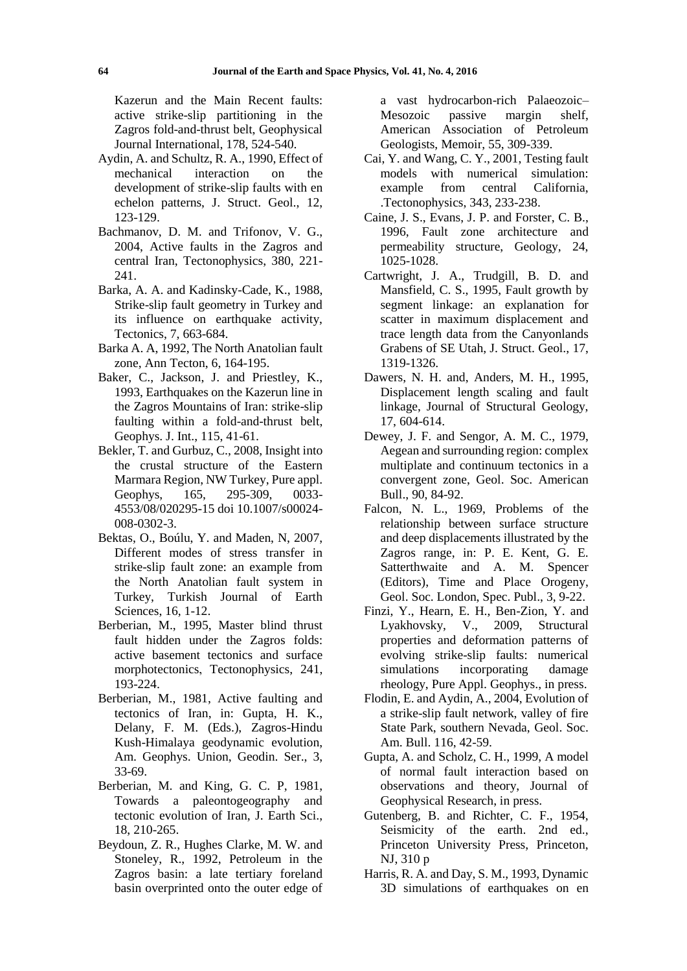Kazerun and the Main Recent faults: active strike-slip partitioning in the Zagros fold-and-thrust belt, Geophysical Journal International, 178, 524-540.

- Aydin, A. and Schultz, R. A., 1990, Effect of mechanical interaction on the development of strike-slip faults with en echelon patterns, J. Struct. Geol., 12, 123-129.
- Bachmanov, D. M. and Trifonov, V. G., 2004, Active faults in the Zagros and central Iran, Tectonophysics, 380, 221- 241.
- Barka, A. A. and Kadinsky-Cade, K., 1988, Strike-slip fault geometry in Turkey and its influence on earthquake activity, Tectonics, 7, 663-684.
- Barka A. A, 1992, The North Anatolian fault zone, Ann Tecton, 6, 164-195.
- Baker, C., Jackson, J. and Priestley, K., 1993, Earthquakes on the Kazerun line in the Zagros Mountains of Iran: strike-slip faulting within a fold-and-thrust belt, Geophys. J. Int., 115, 41-61.
- Bekler, T. and Gurbuz, C., 2008, Insight into the crustal structure of the Eastern Marmara Region, NW Turkey, Pure appl. Geophys, 165, 295-309, 0033- 4553/08/020295-15 doi 10.1007/s00024- 008-0302-3.
- Bektas, O., Boúlu, Y. and Maden, N, 2007, Different modes of stress transfer in strike-slip fault zone: an example from the North Anatolian fault system in Turkey, Turkish Journal of Earth Sciences, 16, 1-12.
- Berberian, M., 1995, Master blind thrust fault hidden under the Zagros folds: active basement tectonics and surface morphotectonics, Tectonophysics, 241, 193-224.
- Berberian, M., 1981, Active faulting and tectonics of Iran, in: Gupta, H. K., Delany, F. M. (Eds.), Zagros-Hindu Kush-Himalaya geodynamic evolution, Am. Geophys. Union, Geodin. Ser., 3, 33-69.
- Berberian, M. and King, G. C. P, 1981, Towards a paleontogeography and tectonic evolution of Iran, J. Earth Sci., 18, 210-265.
- Beydoun, Z. R., Hughes Clarke, M. W. and Stoneley, R., 1992, Petroleum in the Zagros basin: a late tertiary foreland basin overprinted onto the outer edge of

a vast hydrocarbon-rich Palaeozoic– Mesozoic passive margin shelf, American Association of Petroleum Geologists, Memoir, 55, 309-339.

- Cai, Y. and Wang, C. Y., 2001, Testing fault models with numerical simulation: example from central California, .Tectonophysics, 343, 233-238.
- Caine, J. S., Evans, J. P. and Forster, C. B., 1996, Fault zone architecture and permeability structure, Geology, 24, 1025-1028.
- Cartwright, J. A., Trudgill, B. D. and Mansfield, C. S., 1995, Fault growth by segment linkage: an explanation for scatter in maximum displacement and trace length data from the Canyonlands Grabens of SE Utah, J. Struct. Geol., 17, 1319-1326.
- Dawers, N. H. and, Anders, M. H., 1995, Displacement length scaling and fault linkage, Journal of Structural Geology, 17, 604-614.
- Dewey, J. F. and Sengor, A. M. C., 1979, Aegean and surrounding region: complex multiplate and continuum tectonics in a convergent zone, Geol. Soc. American Bull., 90, 84-92.
- Falcon, N. L., 1969, Problems of the relationship between surface structure and deep displacements illustrated by the Zagros range, in: P. E. Kent, G. E. Satterthwaite and A. M. Spencer (Editors), Time and Place Orogeny, Geol. Soc. London, Spec. Publ., 3, 9-22.
- Finzi, Y., Hearn, E. H., Ben-Zion, Y. and Lyakhovsky, V., 2009, Structural properties and deformation patterns of evolving strike-slip faults: numerical simulations incorporating damage rheology, Pure Appl. Geophys., in press.
- Flodin, E. and Aydin, A., 2004, Evolution of a strike-slip fault network, valley of fire State Park, southern Nevada, Geol. Soc. Am. Bull. 116, 42-59.
- Gupta, A. and Scholz, C. H., 1999, A model of normal fault interaction based on observations and theory, Journal of Geophysical Research, in press.
- Gutenberg, B. and Richter, C. F., 1954, Seismicity of the earth. 2nd ed., Princeton University Press, Princeton, NJ, 310 p
- Harris, R. A. and Day, S. M., 1993, Dynamic 3D simulations of earthquakes on en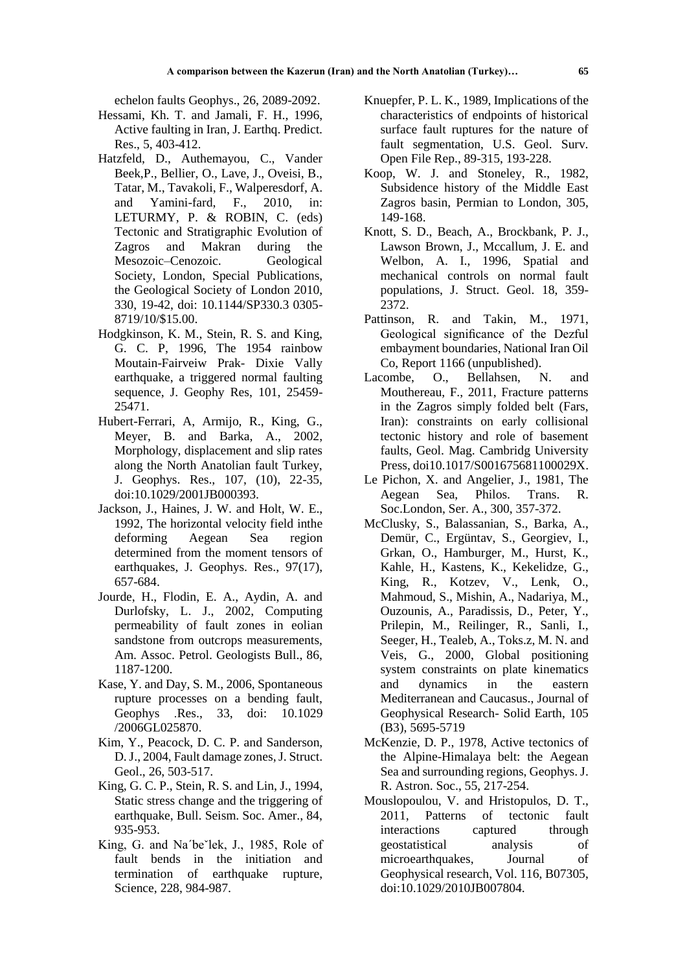echelon faults Geophys., 26, 2089-2092.

- Hessami, Kh. T. and Jamali, F. H., 1996, Active faulting in Iran, J. Earthq. Predict. Res., 5, 403-412.
- Hatzfeld, D., Authemayou, C., Vander Beek,P., Bellier, O., Lave, J., Oveisi, B., Tatar, M., Tavakoli, F., Walperesdorf, A. and Yamini-fard, F., 2010, in: LETURMY, P. & ROBIN, C. (eds) Tectonic and Stratigraphic Evolution of Zagros and Makran during the Mesozoic–Cenozoic. Geological Society, London, Special Publications, the Geological Society of London 2010, 330, 19-42, doi: 10.1144/SP330.3 0305- 8719/10/\$15.00.
- Hodgkinson, K. M., Stein, R. S. and King, G. C. P, 1996, The 1954 rainbow Moutain-Fairveiw Prak- Dixie Vally earthquake, a triggered normal faulting sequence, J. Geophy Res, 101, 25459- 25471.
- Hubert-Ferrari, A, Armijo, R., King, G., Meyer, B. and Barka, A., 2002, Morphology, displacement and slip rates along the North Anatolian fault Turkey, J. Geophys. Res., 107, (10), 22-35, doi:10.1029/2001JB000393.
- Jackson, J., Haines, J. W. and Holt, W. E., 1992, The horizontal velocity field inthe deforming Aegean Sea region determined from the moment tensors of earthquakes, J. Geophys. Res., 97(17), 657-684.
- Jourde, H., Flodin, E. A., Aydin, A. and Durlofsky, L. J., 2002, Computing permeability of fault zones in eolian sandstone from outcrops measurements, Am. Assoc. Petrol. Geologists Bull., 86, 1187-1200.
- Kase, Y. and Day, S. M., 2006, Spontaneous rupture processes on a bending fault, Geophys .Res., 33, doi: 10.1029 /2006GL025870.
- Kim, Y., Peacock, D. C. P. and Sanderson, D. J., 2004, Fault damage zones, J. Struct. Geol., 26, 503-517.
- King, G. C. P., Stein, R. S. and Lin, J., 1994, Static stress change and the triggering of earthquake, Bull. Seism. Soc. Amer., 84, 935-953.
- King, G. and Na'be`lek, J., 1985, Role of fault bends in the initiation and termination of earthquake rupture, Science, 228, 984-987.
- Knuepfer, P. L. K., 1989, Implications of the characteristics of endpoints of historical surface fault ruptures for the nature of fault segmentation, U.S. Geol. Surv. Open File Rep., 89-315, 193-228.
- Koop, W. J. and Stoneley, R., 1982, Subsidence history of the Middle East Zagros basin, Permian to London, 305, 149-168.
- Knott, S. D., Beach, A., Brockbank, P. J., Lawson Brown, J., Mccallum, J. E. and Welbon, A. I., 1996, Spatial and mechanical controls on normal fault populations, J. Struct. Geol. 18, 359- 2372.
- Pattinson, R. and Takin, M., 1971, Geological significance of the Dezful embayment boundaries, National Iran Oil Co, Report 1166 (unpublished).
- Lacombe, O., Bellahsen, N. and Mouthereau, F., 2011, Fracture patterns in the Zagros simply folded belt (Fars, Iran): constraints on early collisional tectonic history and role of basement faults, Geol. Mag. Cambridg University Press, doi10.1017/S001675681100029X.
- Le Pichon, X. and Angelier, J., 1981, The Aegean Sea, Philos. Trans. R. Soc.London, Ser. A., 300, 357-372.
- McClusky, S., Balassanian, S., Barka, A., Demür, C., Ergüntav, S., Georgiev, I., Grkan, O., Hamburger, M., Hurst, K., Kahle, H., Kastens, K., Kekelidze, G., King, R., Kotzev, V., Lenk, O., Mahmoud, S., Mishin, A., Nadariya, M., Ouzounis, A., Paradissis, D., Peter, Y., Prilepin, M., Reilinger, R., Sanli, I., Seeger, H., Tealeb, A., Toks.z, M. N. and Veis, G., 2000, Global positioning system constraints on plate kinematics and dynamics in the eastern Mediterranean and Caucasus., Journal of Geophysical Research- Solid Earth, 105 (B3), 5695-5719
- McKenzie, D. P., 1978, Active tectonics of the Alpine-Himalaya belt: the Aegean Sea and surrounding regions, Geophys. J. R. Astron. Soc., 55, 217-254.
- Mouslopoulou, V. and Hristopulos, D. T., 2011, Patterns of tectonic fault interactions captured through geostatistical analysis of microearthquakes, Journal of Geophysical research, Vol. 116, B07305, doi:10.1029/2010JB007804.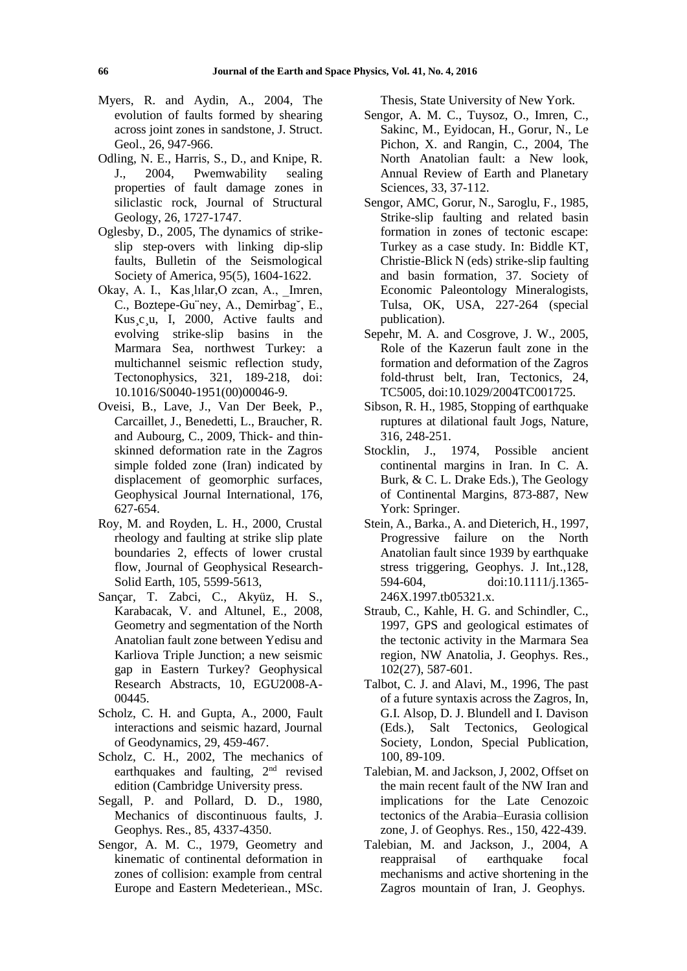- Myers, R. and Aydin, A., 2004, The evolution of faults formed by shearing across joint zones in sandstone, J. Struct. Geol., 26, 947-966.
- Odling, N. E., Harris, S., D., and Knipe, R. J., 2004, Pwemwability sealing properties of fault damage zones in siliclastic rock, Journal of Structural Geology, 26, 1727-1747.
- Oglesby, D., 2005, The dynamics of strikeslip step-overs with linking dip-slip faults, Bulletin of the Seismological Society of America, 95(5), 1604-1622.
- Okay, A. I., Kas lılar, Ozcan, A., Imren, C., Boztepe-Gu¨ney, A., Demirbag˘, E., Kus¸c¸u, I, 2000, Active faults and evolving strike-slip basins in the Marmara Sea, northwest Turkey: a multichannel seismic reflection study, Tectonophysics, 321, 189-218, doi: 10.1016/S0040-1951(00)00046-9.
- Oveisi, B., Lave, J., Van Der Beek, P., Carcaillet, J., Benedetti, L., Braucher, R. and Aubourg, C., 2009, Thick- and thinskinned deformation rate in the Zagros simple folded zone (Iran) indicated by displacement of geomorphic surfaces, Geophysical Journal International, 176, 627-654.
- Roy, M. and Royden, L. H., 2000, Crustal rheology and faulting at strike slip plate boundaries 2, effects of lower crustal flow, Journal of Geophysical Research-Solid Earth, 105, 5599-5613,
- Sançar, T. Zabci, C., Akyüz, H. S., Karabacak, V. and Altunel, E., 2008, Geometry and segmentation of the North Anatolian fault zone between Yedisu and Karliova Triple Junction; a new seismic gap in Eastern Turkey? Geophysical Research Abstracts, 10, EGU2008-A-00445.
- Scholz, C. H. and Gupta, A., 2000, Fault interactions and seismic hazard, Journal of Geodynamics, 29, 459-467.
- Scholz, C. H., 2002, The mechanics of earthquakes and faulting, 2<sup>nd</sup> revised edition (Cambridge University press.
- Segall, P. and Pollard, D. D., 1980, Mechanics of discontinuous faults, J. Geophys. Res., 85, 4337-4350.
- Sengor, A. M. C., 1979, Geometry and kinematic of continental deformation in zones of collision: example from central Europe and Eastern Medeteriean., MSc.

Thesis, State University of New York.

- Sengor, A. M. C., Tuysoz, O., Imren, C., Sakinc, M., Eyidocan, H., Gorur, N., Le Pichon, X. and Rangin, C., 2004, The North Anatolian fault: a New look, Annual Review of Earth and Planetary Sciences, 33, 37-112.
- Sengor, AMC, Gorur, N., Saroglu, F., 1985, Strike-slip faulting and related basin formation in zones of tectonic escape: Turkey as a case study. In: Biddle KT, Christie-Blick N (eds) strike-slip faulting and basin formation, 37. Society of Economic Paleontology Mineralogists, Tulsa, OK, USA, 227-264 (special publication).
- Sepehr, M. A. and Cosgrove, J. W., 2005, Role of the Kazerun fault zone in the formation and deformation of the Zagros fold-thrust belt, Iran, Tectonics, 24, TC5005, doi:10.1029/2004TC001725.
- Sibson, R. H., 1985, Stopping of earthquake ruptures at dilational fault Jogs, Nature, 316, 248-251.
- Stocklin, J., 1974, Possible ancient continental margins in Iran. In C. A. Burk, & C. L. Drake Eds.), The Geology of Continental Margins, 873-887, New York: Springer.
- Stein, A., Barka., A. and Dieterich, H., 1997, Progressive failure on the North Anatolian fault since 1939 by earthquake stress triggering, Geophys. J. Int.,128, 594-604, doi:10.1111/j.1365- 246X.1997.tb05321.x.
- Straub, C., Kahle, H. G. and Schindler, C., 1997, GPS and geological estimates of the tectonic activity in the Marmara Sea region, NW Anatolia, J. Geophys. Res., 102(27), 587-601.
- Talbot, C. J. and Alavi, M., 1996, The past of a future syntaxis across the Zagros, In, G.I. Alsop, D. J. Blundell and I. Davison (Eds.), Salt Tectonics, Geological Society, London, Special Publication, 100, 89-109.
- Talebian, M. and Jackson, J, 2002, Offset on the main recent fault of the NW Iran and implications for the Late Cenozoic tectonics of the Arabia–Eurasia collision zone, J. of Geophys. Res., 150, 422-439.
- Talebian, M. and Jackson, J., 2004, A reappraisal of earthquake focal mechanisms and active shortening in the Zagros mountain of Iran, J. Geophys.